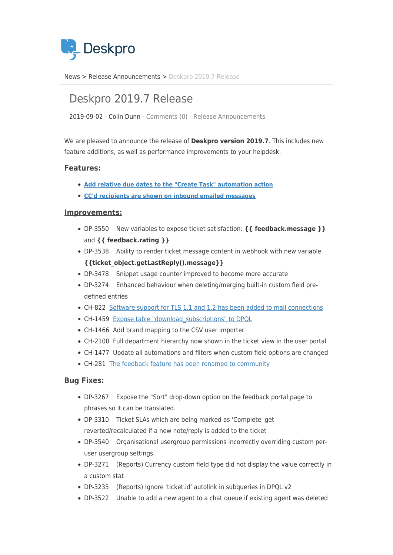

[News](https://support.deskpro.com/sv/news) > [Release Announcements](https://support.deskpro.com/sv/news/release-announcements) > [Deskpro 2019.7 Release](https://support.deskpro.com/sv/news/posts/deskpro-2019-7-release)

## Deskpro 2019.7 Release

2019-09-02 - Colin Dunn - [Comments \(0\)](#page--1-0) - [Release Announcements](https://support.deskpro.com/sv/news/release-announcements)

We are pleased to announce the release of **Deskpro version 2019.7**. This includes new feature additions, as well as performance improvements to your helpdesk.

## **Features:**

- **[Add relative due dates to the "Create Task" automation action](https://support.deskpro.com/news/posts/770)**
- **[CC'd recipients are shown on inbound emailed messages](https://support.deskpro.com/en-GB/news/posts/list-of-cc-d-users-in-each-user-message)**

## **Improvements:**

- DP-3550 New variables to expose ticket satisfaction: **{{ feedback.message }}** and **{{ feedback.rating }}**
- DP-3538 Ability to render ticket message content in webhook with new variable **{{ticket\_object.getLastReply().message}}**
- DP-3478 Snippet usage counter improved to become more accurate
- DP-3274 Enhanced behaviour when deleting/merging built-in custom field predefined entries
- CH-822 [Software support for TLS 1.1 and 1.2 has been added to mail connections](https://support.deskpro.com/en-GB/news/posts/addition-of-tls-1-1-and-1-2-support-for-email-connections)
- CH-1459 Expose table "download subscriptions" to DPQL
- CH-1466 Add brand mapping to the CSV user importer
- CH-2100 Full department hierarchy now shown in the ticket view in the user portal
- CH-1477 Update all automations and filters when custom field options are changed
- CH-281 [The feedback feature has been renamed to community](https://support.deskpro.com/en-GB/news/posts/feedback-area-changing-to-community)

## **Bug Fixes:**

- DP-3267 Expose the "Sort" drop-down option on the feedback portal page to phrases so it can be translated.
- DP-3310 Ticket SLAs which are being marked as 'Complete' get reverted/recalculated if a new note/reply is added to the ticket
- DP-3540 Organisational usergroup permissions incorrectly overriding custom peruser usergroup settings.
- DP-3271 (Reports) Currency custom field type did not display the value correctly in a custom stat
- DP-3235 (Reports) Ignore 'ticket.id' autolink in subqueries in DPQL v2
- DP-3522 Unable to add a new agent to a chat queue if existing agent was deleted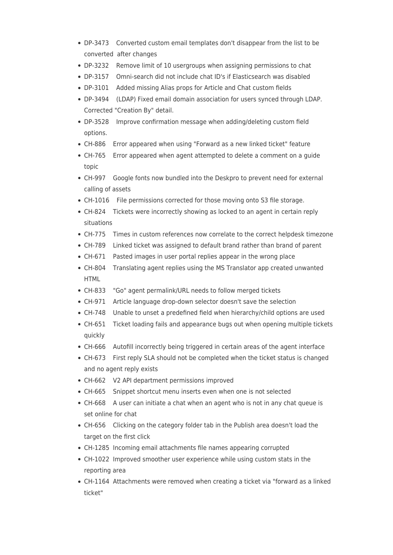- DP-3473 Converted custom email templates don't disappear from the list to be converted after changes
- DP-3232 Remove limit of 10 usergroups when assigning permissions to chat
- DP-3157 Omni-search did not include chat ID's if Elasticsearch was disabled
- DP-3101 Added missing Alias props for Article and Chat custom fields
- DP-3494 (LDAP) Fixed email domain association for users synced through LDAP. Corrected "Creation By" detail.
- DP-3528 Improve confirmation message when adding/deleting custom field options.
- CH-886 Error appeared when using "Forward as a new linked ticket" feature
- CH-765 Error appeared when agent attempted to delete a comment on a guide topic
- CH-997 Google fonts now bundled into the Deskpro to prevent need for external calling of assets
- CH-1016 File permissions corrected for those moving onto S3 file storage.
- CH-824 Tickets were incorrectly showing as locked to an agent in certain reply situations
- CH-775 Times in custom references now correlate to the correct helpdesk timezone
- CH-789 Linked ticket was assigned to default brand rather than brand of parent
- CH-671 Pasted images in user portal replies appear in the wrong place
- CH-804 Translating agent replies using the MS Translator app created unwanted HTML
- CH-833 "Go" agent permalink/URL needs to follow merged tickets
- CH-971 Article language drop-down selector doesn't save the selection
- CH-748 Unable to unset a predefined field when hierarchy/child options are used
- CH-651 Ticket loading fails and appearance bugs out when opening multiple tickets quickly
- CH-666 Autofill incorrectly being triggered in certain areas of the agent interface
- CH-673 First reply SLA should not be completed when the ticket status is changed and no agent reply exists
- CH-662 V2 API department permissions improved
- CH-665 Snippet shortcut menu inserts even when one is not selected
- CH-668 A user can initiate a chat when an agent who is not in any chat queue is set online for chat
- CH-656 Clicking on the category folder tab in the Publish area doesn't load the target on the first click
- CH-1285 Incoming email attachments file names appearing corrupted
- CH-1022 Improved smoother user experience while using custom stats in the reporting area
- CH-1164 Attachments were removed when creating a ticket via "forward as a linked ticket"